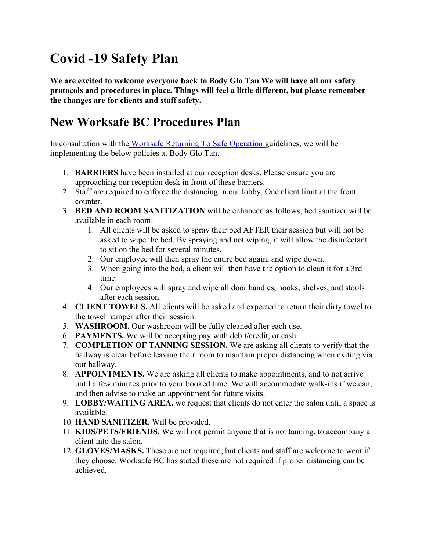## **Covid -19 Safety Plan**

**We are excited to welcome everyone back to Body Glo Tan We will have all our safety protocols and procedures in place. Things will feel a little different, but please remember the changes are for clients and staff safety.** 

## **New Worksafe BC Procedures Plan**

In consultation with the [Worksafe Returning To Safe Operation g](https://www.worksafebc.com/en/about-us/covid-19-updates/covid-19-returning-safe-operation)uidelines, we will be implementing the below policies at Body Glo Tan.

- 1. **BARRIERS** have been installed at our reception desks. Please ensure you are approaching our reception desk in front of these barriers.
- 2. Staff are required to enforce the distancing in our lobby. One client limit at the front counter.
- 3. **BED AND ROOM SANITIZATION** will be enhanced as follows, bed sanitizer will be available in each room:
	- 1. All clients will be asked to spray their bed AFTER their session but will not be asked to wipe the bed. By spraying and not wiping, it will allow the disinfectant to sit on the bed for several minutes.
	- 2. Our employee will then spray the entire bed again, and wipe down.
	- 3. When going into the bed, a client will then have the option to clean it for a 3rd time.
	- 4. Our employees will spray and wipe all door handles, hooks, shelves, and stools after each session.
- 4. **CLIENT TOWELS.** All clients will be asked and expected to return their dirty towel to the towel hamper after their session.
- 5. **WASHROOM.** Our washroom will be fully cleaned after each use.
- 6. **PAYMENTS.** We will be accepting pay with debit/credit, or cash.
- 7. **COMPLETION OF TANNING SESSION.** We are asking all clients to verify that the hallway is clear before leaving their room to maintain proper distancing when exiting via our hallway.
- 8. **APPOINTMENTS.** We are asking all clients to make appointments, and to not arrive until a few minutes prior to your booked time. We will accommodate walk-ins if we can, and then advise to make an appointment for future visits.
- 9. **LOBBY/WAITING AREA.** we request that clients do not enter the salon until a space is available.
- 10. **HAND SANITIZER.** Will be provided.
- 11. **KIDS/PETS/FRIENDS.** We will not permit anyone that is not tanning, to accompany a client into the salon.
- 12. **GLOVES/MASKS.** These are not required, but clients and staff are welcome to wear if they choose. Worksafe BC has stated these are not required if proper distancing can be achieved.